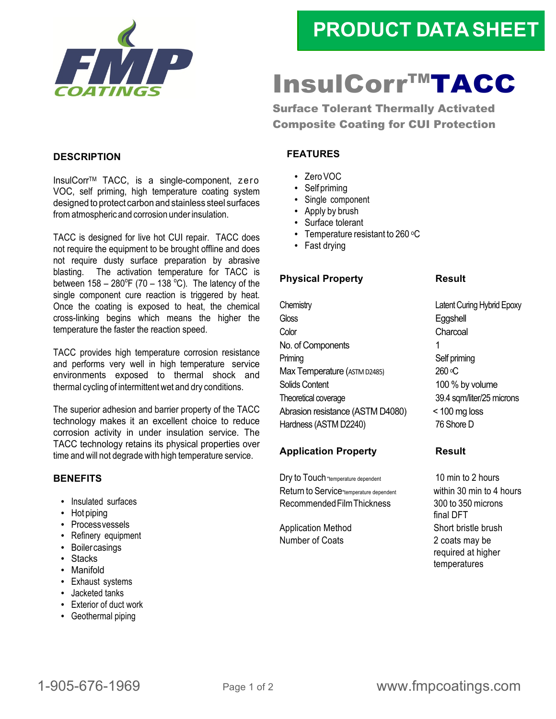

## **PRODUCT DATA SHEET**

# InsulCorr™TACC

Surface Tolerant Thermally Activated Composite Coating for CUI Protection

#### **FEATURES**

- ZeroVOC
- Self priming
- Single component
- Apply by brush
- Surface tolerant
- Temperature resistant to 260 $\degree$ C
- Fast drying

#### **Physical Property Result**

Chemistry **Chemistry Latent Curing Hybrid Epoxy** Gloss Eggshell Color Charcoal No. of Components 1 Priming **Self priming** Max Temperature (ASTM D2485) 260 °C Solids Content 100 % by volume Theoretical coverage 39.4 sqm/liter/25 microns Abrasion resistance (ASTM D4080) < 100 mg loss Hardness (ASTM D2240) 76 Shore D

### **Application Property Result**

Dry to Touch \*temperature dependent 10 min to 2 hours Return to Service\*temperature dependent within 30 min to 4 hours Recommended Film Thickness 300 to 350 microns

Application Method Short bristle brush Number of Coats 2 coats may be

final DFT required at higher temperatures

#### **DESCRIPTION**

InsulCorrTM TACC, is a single-component, zero VOC, self priming, high temperature coating system designed to protect carbon and stainless steel surfaces from atmospheric and corrosion under insulation.

TACC is designed for live hot CUI repair. TACC does not require the equipment to be brought offline and does not require dusty surface preparation by abrasive blasting. The activation temperature for TACC is between  $158 - 280^{\circ}$ F (70 – 138  $^{\circ}$ C). The latency of the single component cure reaction is triggered by heat. Once the coating is exposed to heat, the chemical cross-linking begins which means the higher the temperature the faster the reaction speed.

TACC provides high temperature corrosion resistance and performs very well in high temperature service environments exposed to thermal shock and thermal cycling of intermittent wet and dry conditions.

The superior adhesion and barrier property of the TACC technology makes it an excellent choice to reduce corrosion activity in under insulation service. The TACC technology retains its physical properties over time and will not degrade with high temperature service.

#### **BENEFITS**

- Insulated surfaces
- Hot piping
- Processvessels
- Refinery equipment
- Boilercasings
- Stacks
- Manifold
- Exhaust systems
- Jacketed tanks
- Exterior of duct work
- Geothermal piping